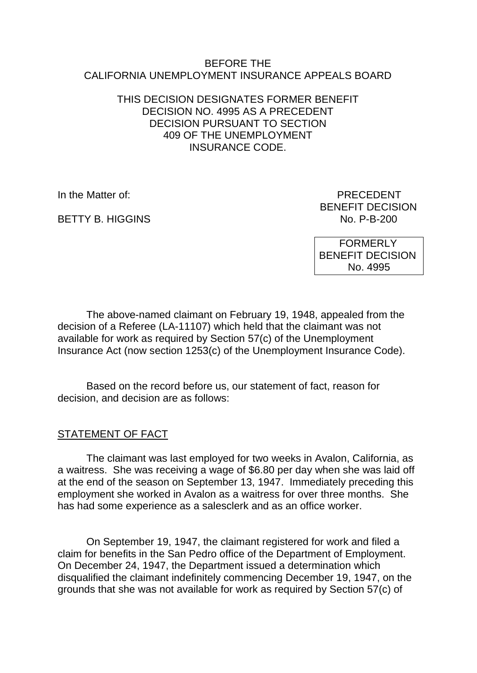#### BEFORE THE CALIFORNIA UNEMPLOYMENT INSURANCE APPEALS BOARD

### THIS DECISION DESIGNATES FORMER BENEFIT DECISION NO. 4995 AS A PRECEDENT DECISION PURSUANT TO SECTION 409 OF THE UNEMPLOYMENT INSURANCE CODE.

**BETTY B. HIGGINS** 

In the Matter of: PRECEDENT BENEFIT DECISION<br>No. P-B-200

> FORMERLY BENEFIT DECISION No. 4995

The above-named claimant on February 19, 1948, appealed from the decision of a Referee (LA-11107) which held that the claimant was not available for work as required by Section 57(c) of the Unemployment Insurance Act (now section 1253(c) of the Unemployment Insurance Code).

Based on the record before us, our statement of fact, reason for decision, and decision are as follows:

## STATEMENT OF FACT

The claimant was last employed for two weeks in Avalon, California, as a waitress. She was receiving a wage of \$6.80 per day when she was laid off at the end of the season on September 13, 1947. Immediately preceding this employment she worked in Avalon as a waitress for over three months. She has had some experience as a salesclerk and as an office worker.

On September 19, 1947, the claimant registered for work and filed a claim for benefits in the San Pedro office of the Department of Employment. On December 24, 1947, the Department issued a determination which disqualified the claimant indefinitely commencing December 19, 1947, on the grounds that she was not available for work as required by Section 57(c) of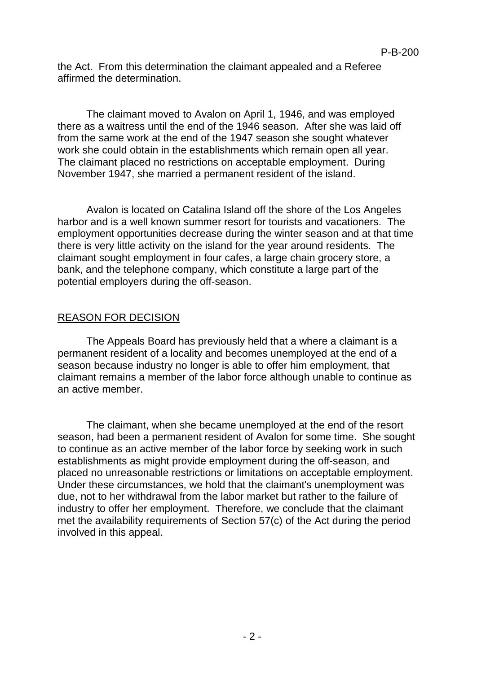the Act. From this determination the claimant appealed and a Referee affirmed the determination.

The claimant moved to Avalon on April 1, 1946, and was employed there as a waitress until the end of the 1946 season. After she was laid off from the same work at the end of the 1947 season she sought whatever work she could obtain in the establishments which remain open all year. The claimant placed no restrictions on acceptable employment. During November 1947, she married a permanent resident of the island.

Avalon is located on Catalina Island off the shore of the Los Angeles harbor and is a well known summer resort for tourists and vacationers. The employment opportunities decrease during the winter season and at that time there is very little activity on the island for the year around residents. The claimant sought employment in four cafes, a large chain grocery store, a bank, and the telephone company, which constitute a large part of the potential employers during the off-season.

# REASON FOR DECISION

The Appeals Board has previously held that a where a claimant is a permanent resident of a locality and becomes unemployed at the end of a season because industry no longer is able to offer him employment, that claimant remains a member of the labor force although unable to continue as an active member.

The claimant, when she became unemployed at the end of the resort season, had been a permanent resident of Avalon for some time. She sought to continue as an active member of the labor force by seeking work in such establishments as might provide employment during the off-season, and placed no unreasonable restrictions or limitations on acceptable employment. Under these circumstances, we hold that the claimant's unemployment was due, not to her withdrawal from the labor market but rather to the failure of industry to offer her employment. Therefore, we conclude that the claimant met the availability requirements of Section 57(c) of the Act during the period involved in this appeal.